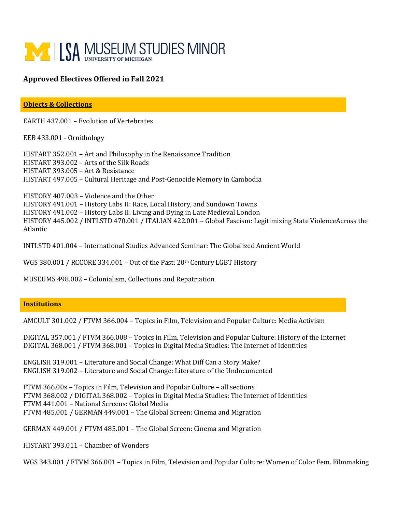

## **Approved Electives Offered in Fall 2021**

**Objects & Collections**

EARTH 437.001 – Evolution of Vertebrates

EEB 433.001 - Ornithology

HISTART 352.001 – Art and Philosophy in the Renaissance Tradition HISTART 393.002 – Arts of the Silk Roads HISTART 393.005 – Art & Resistance HISTART 497.005 – Cultural Heritage and Post-Genocide Memory in Cambodia

HISTORY 407.003 – Violence and the Other HISTORY 491.001 – History Labs II: Race, Local History, and Sundown Towns HISTORY 491.002 – History Labs II: Living and Dying in Late Medieval London HISTORY 445.002 / INTLSTD 470.001 / ITALIAN 422.001 – Global Fascism: Legitimizing State ViolenceAcross the Atlantic

INTLSTD 401.004 – International Studies Advanced Seminar: The Globalized Ancient World

WGS 380.001 / RCCORE 334.001 - Out of the Past: 20th Century LGBT History

MUSEUMS 498.002 – Colonialism, Collections and Repatriation

## **Institutions**

AMCULT 301.002 / FTVM 366.004 – Topics in Film, Television and Popular Culture: Media Activism

DIGITAL 357.001 / FTVM 366.008 – Topics in Film, Television and Popular Culture: History of the Internet DIGITAL 368.001 / FTVM 368.001 – Topics in Digital Media Studies: The Internet of Identities

ENGLISH 319.001 – Literature and Social Change: What Diff Can a Story Make? ENGLISH 319.002 – Literature and Social Change: Literature of the Undocumented

FTVM 366.00x – Topics in Film, Television and Popular Culture – all sections FTVM 368.002 / DIGITAL 368.002 – Topics in Digital Media Studies: The Internet of Identities FTVM 441.001 – National Screens: Global Media FTVM 485.001 / GERMAN 449.001 – The Global Screen: Cinema and Migration

GERMAN 449.001 / FTVM 485.001 – The Global Screen: Cinema and Migration

HISTART 393.011 – Chamber of Wonders

WGS 343.001 / FTVM 366.001 – Topics in Film, Television and Popular Culture: Women of Color Fem. Filmmaking